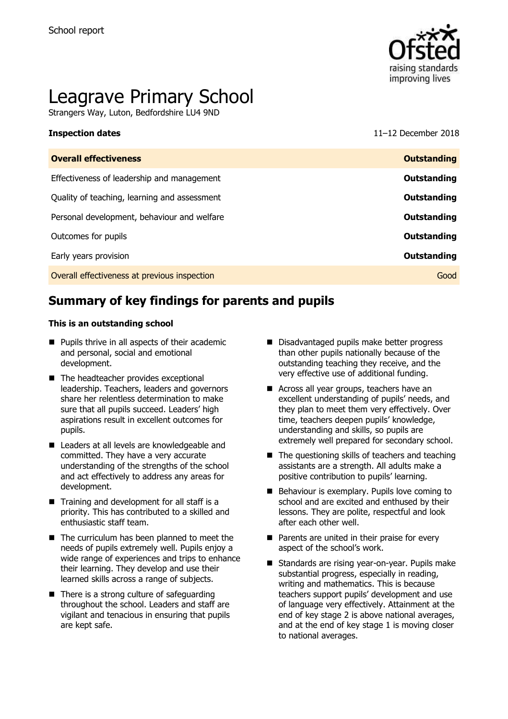

# Leagrave Primary School

Strangers Way, Luton, Bedfordshire LU4 9ND

**Inspection dates** 11–12 December 2018

| <b>Overall effectiveness</b>                 | <b>Outstanding</b> |
|----------------------------------------------|--------------------|
| Effectiveness of leadership and management   | Outstanding        |
| Quality of teaching, learning and assessment | Outstanding        |
| Personal development, behaviour and welfare  | Outstanding        |
| Outcomes for pupils                          | Outstanding        |
| Early years provision                        | Outstanding        |
| Overall effectiveness at previous inspection | Good               |
|                                              |                    |

# **Summary of key findings for parents and pupils**

#### **This is an outstanding school**

- **Pupils thrive in all aspects of their academic** and personal, social and emotional development.
- The headteacher provides exceptional leadership. Teachers, leaders and governors share her relentless determination to make sure that all pupils succeed. Leaders' high aspirations result in excellent outcomes for pupils.
- Leaders at all levels are knowledgeable and committed. They have a very accurate understanding of the strengths of the school and act effectively to address any areas for development.
- $\blacksquare$  Training and development for all staff is a priority. This has contributed to a skilled and enthusiastic staff team.
- The curriculum has been planned to meet the needs of pupils extremely well. Pupils enjoy a wide range of experiences and trips to enhance their learning. They develop and use their learned skills across a range of subjects.
- $\blacksquare$  There is a strong culture of safeguarding throughout the school. Leaders and staff are vigilant and tenacious in ensuring that pupils are kept safe.
- Disadvantaged pupils make better progress than other pupils nationally because of the outstanding teaching they receive, and the very effective use of additional funding.
- Across all year groups, teachers have an excellent understanding of pupils' needs, and they plan to meet them very effectively. Over time, teachers deepen pupils' knowledge, understanding and skills, so pupils are extremely well prepared for secondary school.
- $\blacksquare$  The questioning skills of teachers and teaching assistants are a strength. All adults make a positive contribution to pupils' learning.
- Behaviour is exemplary. Pupils love coming to school and are excited and enthused by their lessons. They are polite, respectful and look after each other well.
- **Parents are united in their praise for every** aspect of the school's work.
- Standards are rising year-on-year. Pupils make substantial progress, especially in reading, writing and mathematics. This is because teachers support pupils' development and use of language very effectively. Attainment at the end of key stage 2 is above national averages, and at the end of key stage 1 is moving closer to national averages.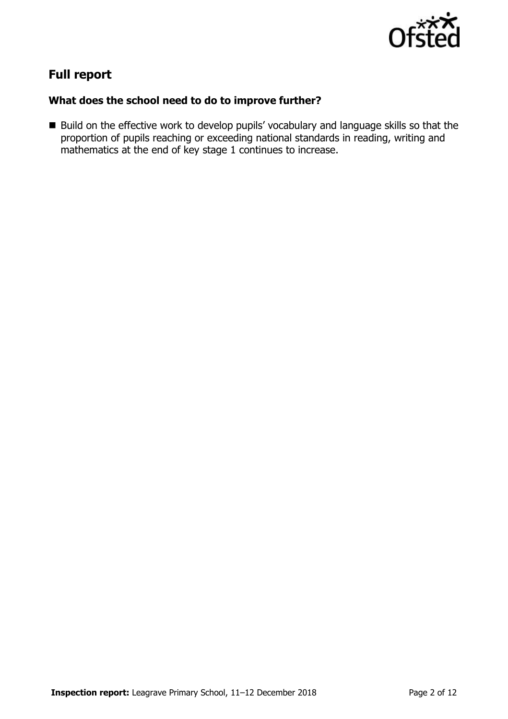

# **Full report**

### **What does the school need to do to improve further?**

Build on the effective work to develop pupils' vocabulary and language skills so that the proportion of pupils reaching or exceeding national standards in reading, writing and mathematics at the end of key stage 1 continues to increase.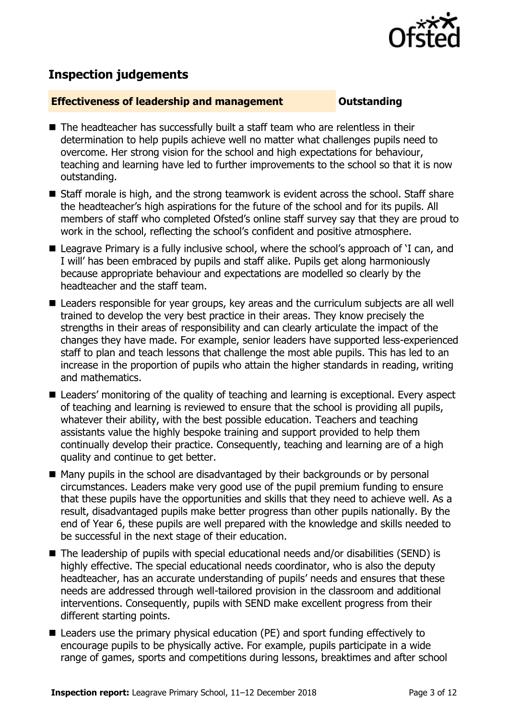

# **Inspection judgements**

#### **Effectiveness of leadership and management Constanding**

- The headteacher has successfully built a staff team who are relentless in their determination to help pupils achieve well no matter what challenges pupils need to overcome. Her strong vision for the school and high expectations for behaviour, teaching and learning have led to further improvements to the school so that it is now outstanding.
- Staff morale is high, and the strong teamwork is evident across the school. Staff share the headteacher's high aspirations for the future of the school and for its pupils. All members of staff who completed Ofsted's online staff survey say that they are proud to work in the school, reflecting the school's confident and positive atmosphere.
- Leagrave Primary is a fully inclusive school, where the school's approach of 'I can, and I will' has been embraced by pupils and staff alike. Pupils get along harmoniously because appropriate behaviour and expectations are modelled so clearly by the headteacher and the staff team.
- Leaders responsible for year groups, key areas and the curriculum subjects are all well trained to develop the very best practice in their areas. They know precisely the strengths in their areas of responsibility and can clearly articulate the impact of the changes they have made. For example, senior leaders have supported less-experienced staff to plan and teach lessons that challenge the most able pupils. This has led to an increase in the proportion of pupils who attain the higher standards in reading, writing and mathematics.
- Leaders' monitoring of the quality of teaching and learning is exceptional. Every aspect of teaching and learning is reviewed to ensure that the school is providing all pupils, whatever their ability, with the best possible education. Teachers and teaching assistants value the highly bespoke training and support provided to help them continually develop their practice. Consequently, teaching and learning are of a high quality and continue to get better.
- Many pupils in the school are disadvantaged by their backgrounds or by personal circumstances. Leaders make very good use of the pupil premium funding to ensure that these pupils have the opportunities and skills that they need to achieve well. As a result, disadvantaged pupils make better progress than other pupils nationally. By the end of Year 6, these pupils are well prepared with the knowledge and skills needed to be successful in the next stage of their education.
- The leadership of pupils with special educational needs and/or disabilities (SEND) is highly effective. The special educational needs coordinator, who is also the deputy headteacher, has an accurate understanding of pupils' needs and ensures that these needs are addressed through well-tailored provision in the classroom and additional interventions. Consequently, pupils with SEND make excellent progress from their different starting points.
- Leaders use the primary physical education (PE) and sport funding effectively to encourage pupils to be physically active. For example, pupils participate in a wide range of games, sports and competitions during lessons, breaktimes and after school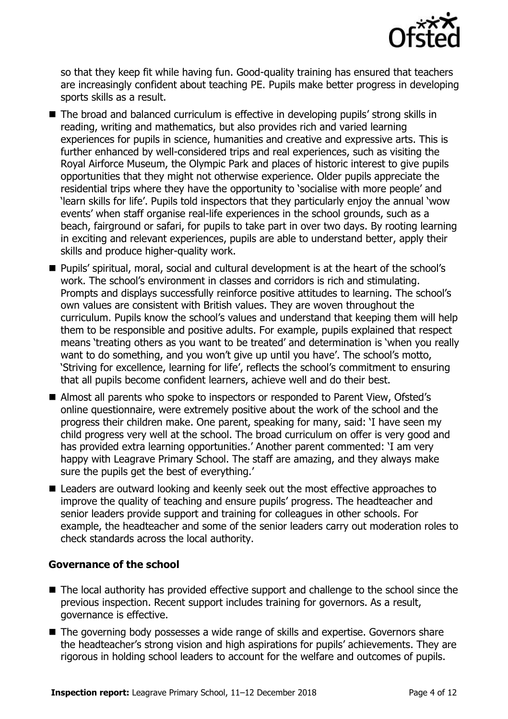

so that they keep fit while having fun. Good-quality training has ensured that teachers are increasingly confident about teaching PE. Pupils make better progress in developing sports skills as a result.

- The broad and balanced curriculum is effective in developing pupils' strong skills in reading, writing and mathematics, but also provides rich and varied learning experiences for pupils in science, humanities and creative and expressive arts. This is further enhanced by well-considered trips and real experiences, such as visiting the Royal Airforce Museum, the Olympic Park and places of historic interest to give pupils opportunities that they might not otherwise experience. Older pupils appreciate the residential trips where they have the opportunity to 'socialise with more people' and 'learn skills for life'. Pupils told inspectors that they particularly enjoy the annual 'wow events' when staff organise real-life experiences in the school grounds, such as a beach, fairground or safari, for pupils to take part in over two days. By rooting learning in exciting and relevant experiences, pupils are able to understand better, apply their skills and produce higher-quality work.
- Pupils' spiritual, moral, social and cultural development is at the heart of the school's work. The school's environment in classes and corridors is rich and stimulating. Prompts and displays successfully reinforce positive attitudes to learning. The school's own values are consistent with British values. They are woven throughout the curriculum. Pupils know the school's values and understand that keeping them will help them to be responsible and positive adults. For example, pupils explained that respect means 'treating others as you want to be treated' and determination is 'when you really want to do something, and you won't give up until you have'. The school's motto, 'Striving for excellence, learning for life', reflects the school's commitment to ensuring that all pupils become confident learners, achieve well and do their best.
- Almost all parents who spoke to inspectors or responded to Parent View, Ofsted's online questionnaire, were extremely positive about the work of the school and the progress their children make. One parent, speaking for many, said: 'I have seen my child progress very well at the school. The broad curriculum on offer is very good and has provided extra learning opportunities.' Another parent commented: 'I am very happy with Leagrave Primary School. The staff are amazing, and they always make sure the pupils get the best of everything.'
- Leaders are outward looking and keenly seek out the most effective approaches to improve the quality of teaching and ensure pupils' progress. The headteacher and senior leaders provide support and training for colleagues in other schools. For example, the headteacher and some of the senior leaders carry out moderation roles to check standards across the local authority.

### **Governance of the school**

- The local authority has provided effective support and challenge to the school since the previous inspection. Recent support includes training for governors. As a result, governance is effective.
- The governing body possesses a wide range of skills and expertise. Governors share the headteacher's strong vision and high aspirations for pupils' achievements. They are rigorous in holding school leaders to account for the welfare and outcomes of pupils.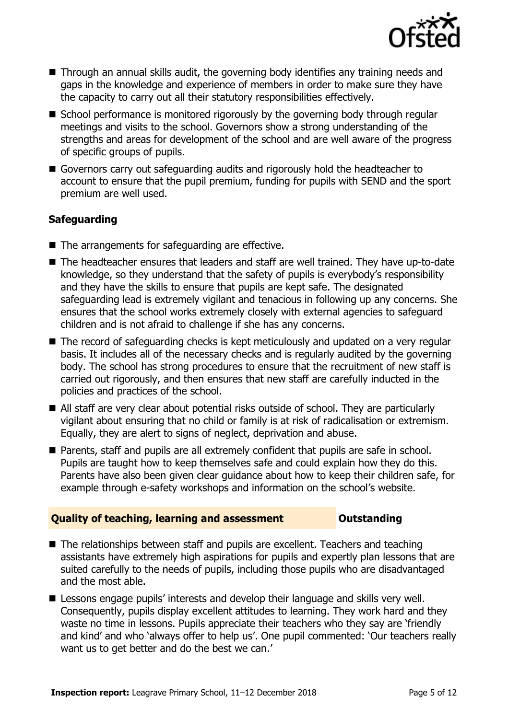

- Through an annual skills audit, the governing body identifies any training needs and gaps in the knowledge and experience of members in order to make sure they have the capacity to carry out all their statutory responsibilities effectively.
- School performance is monitored rigorously by the governing body through regular meetings and visits to the school. Governors show a strong understanding of the strengths and areas for development of the school and are well aware of the progress of specific groups of pupils.
- Governors carry out safeguarding audits and rigorously hold the headteacher to account to ensure that the pupil premium, funding for pupils with SEND and the sport premium are well used.

### **Safeguarding**

- The arrangements for safeguarding are effective.
- The headteacher ensures that leaders and staff are well trained. They have up-to-date knowledge, so they understand that the safety of pupils is everybody's responsibility and they have the skills to ensure that pupils are kept safe. The designated safeguarding lead is extremely vigilant and tenacious in following up any concerns. She ensures that the school works extremely closely with external agencies to safeguard children and is not afraid to challenge if she has any concerns.
- The record of safeguarding checks is kept meticulously and updated on a very regular basis. It includes all of the necessary checks and is regularly audited by the governing body. The school has strong procedures to ensure that the recruitment of new staff is carried out rigorously, and then ensures that new staff are carefully inducted in the policies and practices of the school.
- All staff are very clear about potential risks outside of school. They are particularly vigilant about ensuring that no child or family is at risk of radicalisation or extremism. Equally, they are alert to signs of neglect, deprivation and abuse.
- Parents, staff and pupils are all extremely confident that pupils are safe in school. Pupils are taught how to keep themselves safe and could explain how they do this. Parents have also been given clear guidance about how to keep their children safe, for example through e-safety workshops and information on the school's website.

#### **Quality of teaching, learning and assessment <b>Caucalian** Dutstanding

- The relationships between staff and pupils are excellent. Teachers and teaching assistants have extremely high aspirations for pupils and expertly plan lessons that are suited carefully to the needs of pupils, including those pupils who are disadvantaged and the most able.
- **E** Lessons engage pupils' interests and develop their language and skills very well. Consequently, pupils display excellent attitudes to learning. They work hard and they waste no time in lessons. Pupils appreciate their teachers who they say are 'friendly and kind' and who 'always offer to help us'. One pupil commented: 'Our teachers really want us to get better and do the best we can.'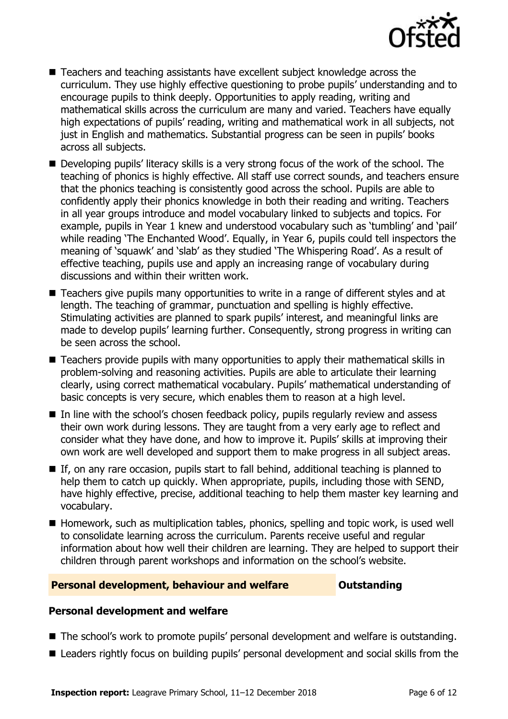

- Teachers and teaching assistants have excellent subject knowledge across the curriculum. They use highly effective questioning to probe pupils' understanding and to encourage pupils to think deeply. Opportunities to apply reading, writing and mathematical skills across the curriculum are many and varied. Teachers have equally high expectations of pupils' reading, writing and mathematical work in all subjects, not just in English and mathematics. Substantial progress can be seen in pupils' books across all subjects.
- Developing pupils' literacy skills is a very strong focus of the work of the school. The teaching of phonics is highly effective. All staff use correct sounds, and teachers ensure that the phonics teaching is consistently good across the school. Pupils are able to confidently apply their phonics knowledge in both their reading and writing. Teachers in all year groups introduce and model vocabulary linked to subjects and topics. For example, pupils in Year 1 knew and understood vocabulary such as 'tumbling' and 'pail' while reading 'The Enchanted Wood'. Equally, in Year 6, pupils could tell inspectors the meaning of 'squawk' and 'slab' as they studied 'The Whispering Road'. As a result of effective teaching, pupils use and apply an increasing range of vocabulary during discussions and within their written work.
- Teachers give pupils many opportunities to write in a range of different styles and at length. The teaching of grammar, punctuation and spelling is highly effective. Stimulating activities are planned to spark pupils' interest, and meaningful links are made to develop pupils' learning further. Consequently, strong progress in writing can be seen across the school.
- Teachers provide pupils with many opportunities to apply their mathematical skills in problem-solving and reasoning activities. Pupils are able to articulate their learning clearly, using correct mathematical vocabulary. Pupils' mathematical understanding of basic concepts is very secure, which enables them to reason at a high level.
- In line with the school's chosen feedback policy, pupils regularly review and assess their own work during lessons. They are taught from a very early age to reflect and consider what they have done, and how to improve it. Pupils' skills at improving their own work are well developed and support them to make progress in all subject areas.
- If, on any rare occasion, pupils start to fall behind, additional teaching is planned to help them to catch up quickly. When appropriate, pupils, including those with SEND, have highly effective, precise, additional teaching to help them master key learning and vocabulary.
- Homework, such as multiplication tables, phonics, spelling and topic work, is used well to consolidate learning across the curriculum. Parents receive useful and regular information about how well their children are learning. They are helped to support their children through parent workshops and information on the school's website.

#### **Personal development, behaviour and welfare <b>COU Outstanding**

### **Personal development and welfare**

- The school's work to promote pupils' personal development and welfare is outstanding.
- Leaders rightly focus on building pupils' personal development and social skills from the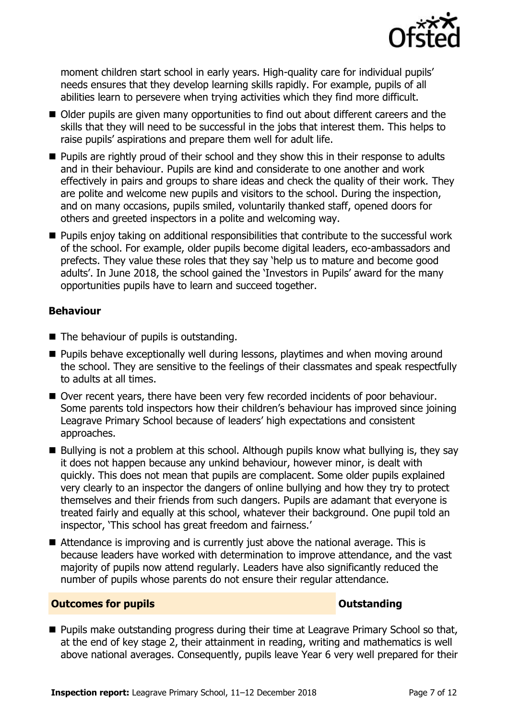

moment children start school in early years. High-quality care for individual pupils' needs ensures that they develop learning skills rapidly. For example, pupils of all abilities learn to persevere when trying activities which they find more difficult.

- Older pupils are given many opportunities to find out about different careers and the skills that they will need to be successful in the jobs that interest them. This helps to raise pupils' aspirations and prepare them well for adult life.
- **Pupils are rightly proud of their school and they show this in their response to adults** and in their behaviour. Pupils are kind and considerate to one another and work effectively in pairs and groups to share ideas and check the quality of their work. They are polite and welcome new pupils and visitors to the school. During the inspection, and on many occasions, pupils smiled, voluntarily thanked staff, opened doors for others and greeted inspectors in a polite and welcoming way.
- **Pupils enjoy taking on additional responsibilities that contribute to the successful work** of the school. For example, older pupils become digital leaders, eco-ambassadors and prefects. They value these roles that they say 'help us to mature and become good adults'. In June 2018, the school gained the 'Investors in Pupils' award for the many opportunities pupils have to learn and succeed together.

#### **Behaviour**

- The behaviour of pupils is outstanding.
- **Pupils behave exceptionally well during lessons, playtimes and when moving around** the school. They are sensitive to the feelings of their classmates and speak respectfully to adults at all times.
- Over recent years, there have been very few recorded incidents of poor behaviour. Some parents told inspectors how their children's behaviour has improved since joining Leagrave Primary School because of leaders' high expectations and consistent approaches.
- Bullying is not a problem at this school. Although pupils know what bullying is, they say it does not happen because any unkind behaviour, however minor, is dealt with quickly. This does not mean that pupils are complacent. Some older pupils explained very clearly to an inspector the dangers of online bullying and how they try to protect themselves and their friends from such dangers. Pupils are adamant that everyone is treated fairly and equally at this school, whatever their background. One pupil told an inspector, 'This school has great freedom and fairness.'
- Attendance is improving and is currently just above the national average. This is because leaders have worked with determination to improve attendance, and the vast majority of pupils now attend regularly. Leaders have also significantly reduced the number of pupils whose parents do not ensure their regular attendance.

#### **Outcomes for pupils Outstanding**

**Pupils make outstanding progress during their time at Leagrave Primary School so that,** at the end of key stage 2, their attainment in reading, writing and mathematics is well above national averages. Consequently, pupils leave Year 6 very well prepared for their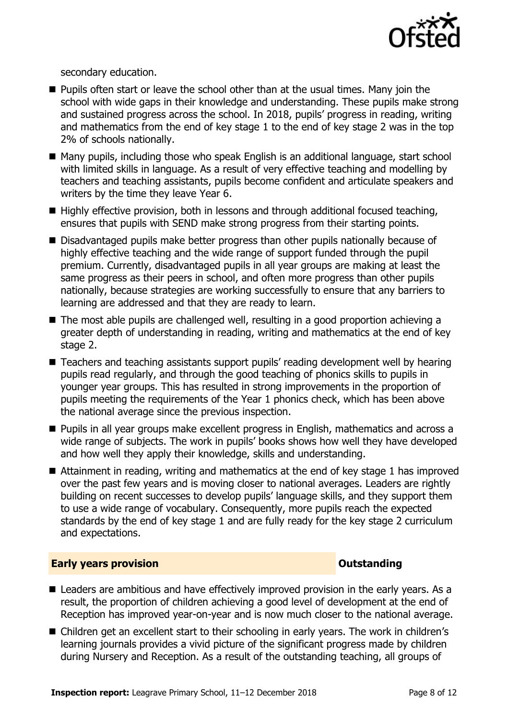

secondary education.

- **Pupils often start or leave the school other than at the usual times. Many join the** school with wide gaps in their knowledge and understanding. These pupils make strong and sustained progress across the school. In 2018, pupils' progress in reading, writing and mathematics from the end of key stage 1 to the end of key stage 2 was in the top 2% of schools nationally.
- Many pupils, including those who speak English is an additional language, start school with limited skills in language. As a result of very effective teaching and modelling by teachers and teaching assistants, pupils become confident and articulate speakers and writers by the time they leave Year 6.
- Highly effective provision, both in lessons and through additional focused teaching, ensures that pupils with SEND make strong progress from their starting points.
- Disadvantaged pupils make better progress than other pupils nationally because of highly effective teaching and the wide range of support funded through the pupil premium. Currently, disadvantaged pupils in all year groups are making at least the same progress as their peers in school, and often more progress than other pupils nationally, because strategies are working successfully to ensure that any barriers to learning are addressed and that they are ready to learn.
- The most able pupils are challenged well, resulting in a good proportion achieving a greater depth of understanding in reading, writing and mathematics at the end of key stage 2.
- Teachers and teaching assistants support pupils' reading development well by hearing pupils read regularly, and through the good teaching of phonics skills to pupils in younger year groups. This has resulted in strong improvements in the proportion of pupils meeting the requirements of the Year 1 phonics check, which has been above the national average since the previous inspection.
- **Pupils in all year groups make excellent progress in English, mathematics and across a** wide range of subjects. The work in pupils' books shows how well they have developed and how well they apply their knowledge, skills and understanding.
- Attainment in reading, writing and mathematics at the end of key stage 1 has improved over the past few years and is moving closer to national averages. Leaders are rightly building on recent successes to develop pupils' language skills, and they support them to use a wide range of vocabulary. Consequently, more pupils reach the expected standards by the end of key stage 1 and are fully ready for the key stage 2 curriculum and expectations.

### **Early years provision CONSISTER SERVICES CONSISTENT CONSTANT CONSTANT CONSTANT CONSISTENT CONSTANT CONSTANT CONSTANT CONSTANT CONSTANT CONSTANT CONSTANT CONSTANT CONSTANT CONSTANT CONSTANT CONSTANT CONSTANT CONSTANT C**

- Leaders are ambitious and have effectively improved provision in the early years. As a result, the proportion of children achieving a good level of development at the end of Reception has improved year-on-year and is now much closer to the national average.
- Children get an excellent start to their schooling in early years. The work in children's learning journals provides a vivid picture of the significant progress made by children during Nursery and Reception. As a result of the outstanding teaching, all groups of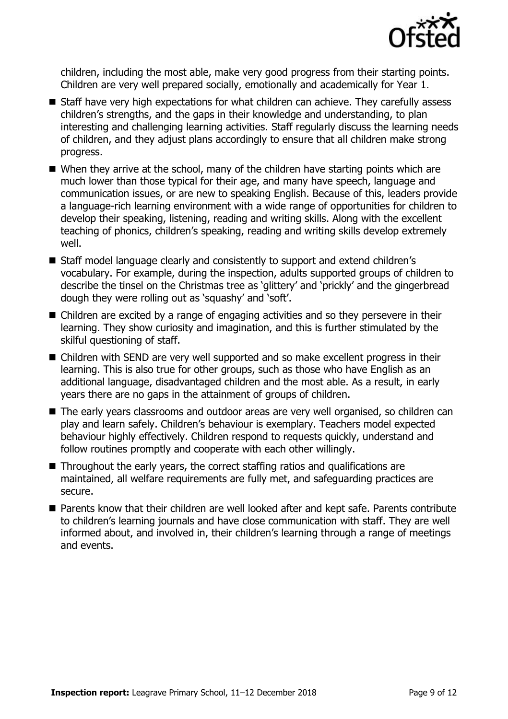

children, including the most able, make very good progress from their starting points. Children are very well prepared socially, emotionally and academically for Year 1.

- Staff have very high expectations for what children can achieve. They carefully assess children's strengths, and the gaps in their knowledge and understanding, to plan interesting and challenging learning activities. Staff regularly discuss the learning needs of children, and they adjust plans accordingly to ensure that all children make strong progress.
- When they arrive at the school, many of the children have starting points which are much lower than those typical for their age, and many have speech, language and communication issues, or are new to speaking English. Because of this, leaders provide a language-rich learning environment with a wide range of opportunities for children to develop their speaking, listening, reading and writing skills. Along with the excellent teaching of phonics, children's speaking, reading and writing skills develop extremely well.
- Staff model language clearly and consistently to support and extend children's vocabulary. For example, during the inspection, adults supported groups of children to describe the tinsel on the Christmas tree as 'glittery' and 'prickly' and the gingerbread dough they were rolling out as 'squashy' and 'soft'.
- Children are excited by a range of engaging activities and so they persevere in their learning. They show curiosity and imagination, and this is further stimulated by the skilful questioning of staff.
- Children with SEND are very well supported and so make excellent progress in their learning. This is also true for other groups, such as those who have English as an additional language, disadvantaged children and the most able. As a result, in early years there are no gaps in the attainment of groups of children.
- The early years classrooms and outdoor areas are very well organised, so children can play and learn safely. Children's behaviour is exemplary. Teachers model expected behaviour highly effectively. Children respond to requests quickly, understand and follow routines promptly and cooperate with each other willingly.
- Throughout the early years, the correct staffing ratios and qualifications are maintained, all welfare requirements are fully met, and safeguarding practices are secure.
- Parents know that their children are well looked after and kept safe. Parents contribute to children's learning journals and have close communication with staff. They are well informed about, and involved in, their children's learning through a range of meetings and events.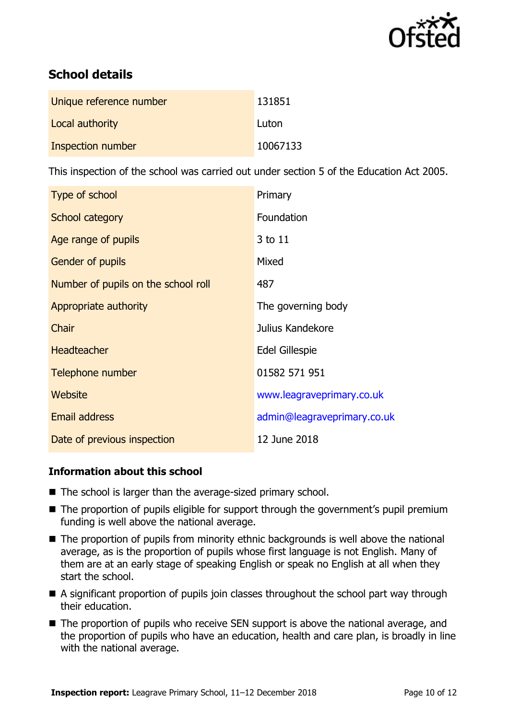

# **School details**

| Unique reference number | 131851   |
|-------------------------|----------|
| Local authority         | Luton    |
| Inspection number       | 10067133 |

This inspection of the school was carried out under section 5 of the Education Act 2005.

| Type of school                      | Primary                     |
|-------------------------------------|-----------------------------|
| School category                     | Foundation                  |
| Age range of pupils                 | 3 to 11                     |
| Gender of pupils                    | Mixed                       |
| Number of pupils on the school roll | 487                         |
| Appropriate authority               | The governing body          |
| Chair                               | Julius Kandekore            |
| <b>Headteacher</b>                  | <b>Edel Gillespie</b>       |
| Telephone number                    | 01582 571 951               |
| Website                             | www.leagraveprimary.co.uk   |
| <b>Email address</b>                | admin@leagraveprimary.co.uk |
| Date of previous inspection         | 12 June 2018                |

### **Information about this school**

- The school is larger than the average-sized primary school.
- The proportion of pupils eligible for support through the government's pupil premium funding is well above the national average.
- The proportion of pupils from minority ethnic backgrounds is well above the national average, as is the proportion of pupils whose first language is not English. Many of them are at an early stage of speaking English or speak no English at all when they start the school.
- A significant proportion of pupils join classes throughout the school part way through their education.
- The proportion of pupils who receive SEN support is above the national average, and the proportion of pupils who have an education, health and care plan, is broadly in line with the national average.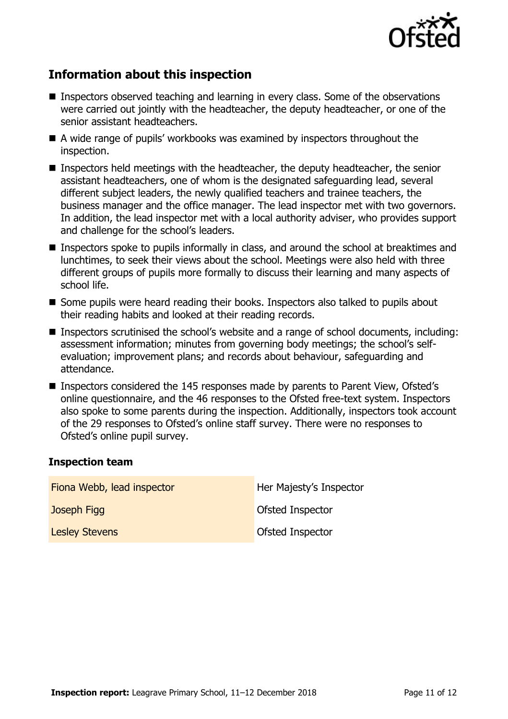

# **Information about this inspection**

- Inspectors observed teaching and learning in every class. Some of the observations were carried out jointly with the headteacher, the deputy headteacher, or one of the senior assistant headteachers.
- A wide range of pupils' workbooks was examined by inspectors throughout the inspection.
- Inspectors held meetings with the headteacher, the deputy headteacher, the senior assistant headteachers, one of whom is the designated safeguarding lead, several different subject leaders, the newly qualified teachers and trainee teachers, the business manager and the office manager. The lead inspector met with two governors. In addition, the lead inspector met with a local authority adviser, who provides support and challenge for the school's leaders.
- **Inspectors spoke to pupils informally in class, and around the school at breaktimes and** lunchtimes, to seek their views about the school. Meetings were also held with three different groups of pupils more formally to discuss their learning and many aspects of school life.
- Some pupils were heard reading their books. Inspectors also talked to pupils about their reading habits and looked at their reading records.
- Inspectors scrutinised the school's website and a range of school documents, including: assessment information; minutes from governing body meetings; the school's selfevaluation; improvement plans; and records about behaviour, safeguarding and attendance.
- Inspectors considered the 145 responses made by parents to Parent View, Ofsted's online questionnaire, and the 46 responses to the Ofsted free-text system. Inspectors also spoke to some parents during the inspection. Additionally, inspectors took account of the 29 responses to Ofsted's online staff survey. There were no responses to Ofsted's online pupil survey.

#### **Inspection team**

| Fiona Webb, lead inspector | Her Majesty's Inspector |
|----------------------------|-------------------------|
| Joseph Figg                | Ofsted Inspector        |
| <b>Lesley Stevens</b>      | Ofsted Inspector        |